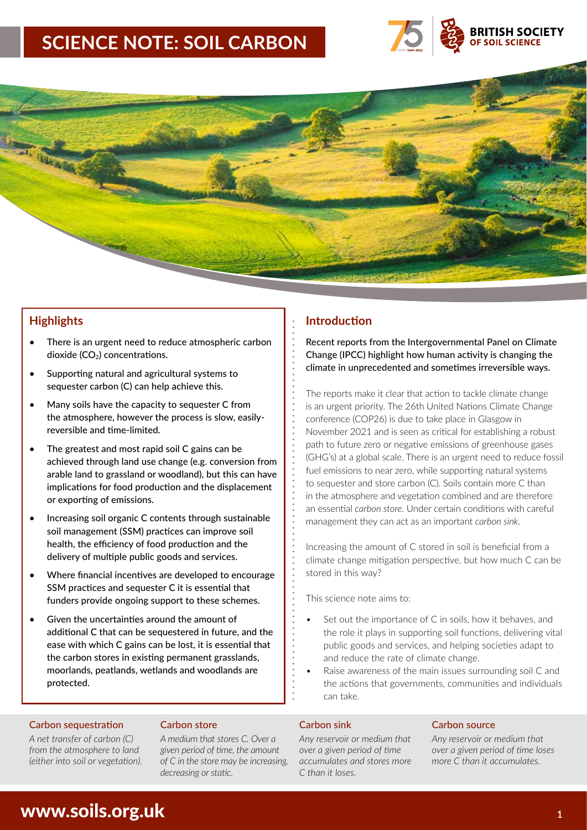# **SCIENCE NOTE: SOIL CARBON**





- There is an urgent need to reduce atmospheric carbon dioxide  $(CO_2)$  concentrations.
- Supporting natural and agricultural systems to sequester carbon (C) can help achieve this.
- Many soils have the capacity to sequester C from the atmosphere, however the process is slow, easilyreversible and time-limited.
- The greatest and most rapid soil C gains can be achieved through land use change (e.g. conversion from arable land to grassland or woodland), but this can have implications for food production and the displacement or exporting of emissions.
- Increasing soil organic C contents through sustainable soil management (SSM) practices can improve soil health, the efficiency of food production and the delivery of multiple public goods and services.
- Where financial incentives are developed to encourage SSM practices and sequester C it is essential that funders provide ongoing support to these schemes.
- Given the uncertainties around the amount of additional C that can be sequestered in future, and the ease with which C gains can be lost, it is essential that the carbon stores in existing permanent grasslands, moorlands, peatlands, wetlands and woodlands are protected.

### Carbon sequestration Carbon store Carbon sink Carbon source

*A net transfer of carbon (C) from the atmosphere to land (either into soil or vegetation).* *A medium that stores C. Over a given period of time, the amount of C in the store may be increasing, decreasing or static.*

## **Highlights Introduction**

Recent reports from the Intergovernmental Panel on Climate Change (IPCC) highlight how human activity is changing the climate in unprecedented and sometimes irreversible ways.

The reports make it clear that action to tackle climate change is an urgent priority. The 26th United Nations Climate Change conference (COP26) is due to take place in Glasgow in November 2021 and is seen as critical for establishing a robust path to future zero or negative emissions of greenhouse gases (GHG's) at a global scale. There is an urgent need to reduce fossil fuel emissions to near zero, while supporting natural systems to sequester and store carbon (C). Soils contain more C than in the atmosphere and vegetation combined and are therefore an essential *carbon store*. Under certain conditions with careful management they can act as an important *carbon sink*.

Increasing the amount of C stored in soil is beneficial from a climate change mitigation perspective, but how much C can be stored in this way?

This science note aims to:

- Set out the importance of C in soils, how it behaves, and the role it plays in supporting soil functions, delivering vital public goods and services, and helping societies adapt to and reduce the rate of climate change.
- Raise awareness of the main issues surrounding soil C and the actions that governments, communities and individuals can take.

*Any reservoir or medium that over a given period of time accumulates and stores more C than it loses.*

*Any reservoir or medium that over a given period of time loses more C than it accumulates.*

# www.soils.org.uk **<sup>1</sup>**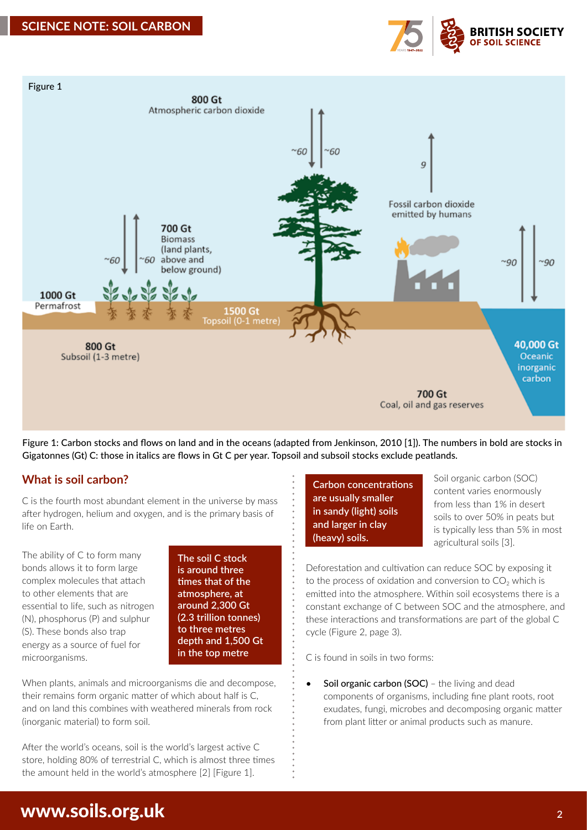



Figure 1: Carbon stocks and flows on land and in the oceans (adapted from Jenkinson, 2010 [1]). The numbers in bold are stocks in Gigatonnes (Gt) C: those in italics are flows in Gt C per year. Topsoil and subsoil stocks exclude peatlands.

## **What is soil carbon?**

C is the fourth most abundant element in the universe by mass after hydrogen, helium and oxygen, and is the primary basis of life on Earth.

The ability of C to form many bonds allows it to form large complex molecules that attach to other elements that are essential to life, such as nitrogen (N), phosphorus (P) and sulphur (S). These bonds also trap energy as a source of fuel for microorganisms.

**The soil C stock is around three times that of the atmosphere, at around 2,300 Gt (2.3 trillion tonnes) to three metres depth and 1,500 Gt in the top metre**

When plants, animals and microorganisms die and decompose, their remains form organic matter of which about half is C, and on land this combines with weathered minerals from rock (inorganic material) to form soil.

After the world's oceans, soil is the world's largest active C store, holding 80% of terrestrial C, which is almost three times the amount held in the world's atmosphere [2] [Figure 1].

**Carbon concentrations are usually smaller in sandy (light) soils and larger in clay (heavy) soils.**

Soil organic carbon (SOC) content varies enormously from less than 1% in desert soils to over 50% in peats but is typically less than 5% in most agricultural soils [3].

Deforestation and cultivation can reduce SOC by exposing it to the process of oxidation and conversion to  $CO<sub>2</sub>$  which is emitted into the atmosphere. Within soil ecosystems there is a constant exchange of C between SOC and the atmosphere, and these interactions and transformations are part of the global C cycle (Figure 2, page 3).

C is found in soils in two forms:

Soil organic carbon (SOC) - the living and dead components of organisms, including fine plant roots, root exudates, fungi, microbes and decomposing organic matter from plant litter or animal products such as manure.

# www.soils.org.uk **<sup>2</sup>**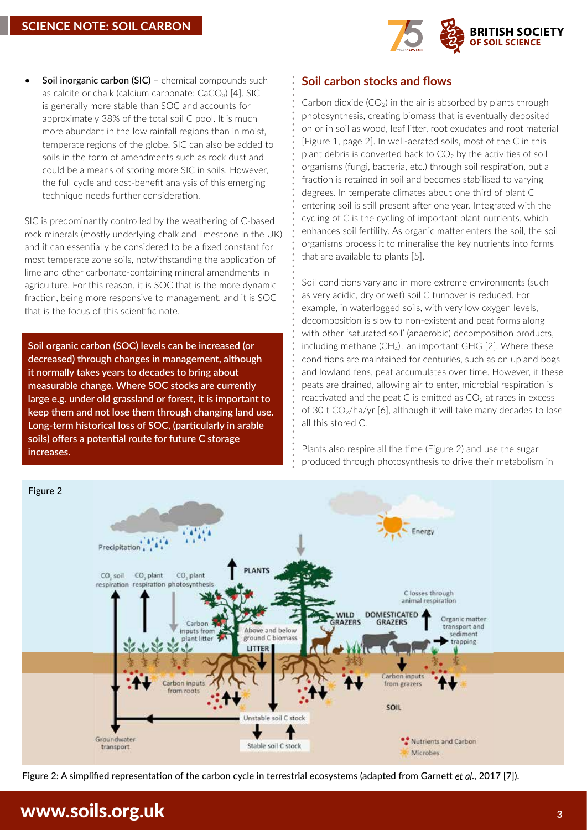

Soil inorganic carbon (SIC) – chemical compounds such as calcite or chalk (calcium carbonate:  $CaCO<sub>3</sub>$ ) [4]. SIC is generally more stable than SOC and accounts for approximately 38% of the total soil C pool. It is much more abundant in the low rainfall regions than in moist, temperate regions of the globe. SIC can also be added to soils in the form of amendments such as rock dust and could be a means of storing more SIC in soils. However, the full cycle and cost-benefit analysis of this emerging technique needs further consideration.

SIC is predominantly controlled by the weathering of C-based rock minerals (mostly underlying chalk and limestone in the UK) and it can essentially be considered to be a fixed constant for most temperate zone soils, notwithstanding the application of lime and other carbonate-containing mineral amendments in agriculture. For this reason, it is SOC that is the more dynamic fraction, being more responsive to management, and it is SOC that is the focus of this scientific note.

**Soil organic carbon (SOC) levels can be increased (or decreased) through changes in management, although it normally takes years to decades to bring about measurable change. Where SOC stocks are currently large e.g. under old grassland or forest, it is important to keep them and not lose them through changing land use. Long-term historical loss of SOC, (particularly in arable soils) offers a potential route for future C storage increases.**

**Soil carbon stocks and flows**

Carbon dioxide  $(CO_2)$  in the air is absorbed by plants through photosynthesis, creating biomass that is eventually deposited on or in soil as wood, leaf litter, root exudates and root material [Figure 1, page 2]. In well-aerated soils, most of the C in this plant debris is converted back to  $CO<sub>2</sub>$  by the activities of soil organisms (fungi, bacteria, etc.) through soil respiration, but a fraction is retained in soil and becomes stabilised to varying degrees. In temperate climates about one third of plant C entering soil is still present after one year. Integrated with the cycling of C is the cycling of important plant nutrients, which enhances soil fertility. As organic matter enters the soil, the soil organisms process it to mineralise the key nutrients into forms that are available to plants [5].

Soil conditions vary and in more extreme environments (such as very acidic, dry or wet) soil C turnover is reduced. For example, in waterlogged soils, with very low oxygen levels, decomposition is slow to non-existent and peat forms along with other 'saturated soil' (anaerobic) decomposition products, including methane  $(CH_4)$ , an important GHG [2]. Where these conditions are maintained for centuries, such as on upland bogs and lowland fens, peat accumulates over time. However, if these peats are drained, allowing air to enter, microbial respiration is reactivated and the peat C is emitted as  $CO<sub>2</sub>$  at rates in excess of 30 t CO<sub>2</sub>/ha/yr [6], although it will take many decades to lose all this stored C.

Plants also respire all the time (Figure 2) and use the sugar produced through photosynthesis to drive their metabolism in



Figure 2: A simplified representation of the carbon cycle in terrestrial ecosystems (adapted from Garnett *et al*., 2017 [7]).

# www.soils.org.uk 3**3 April 2018**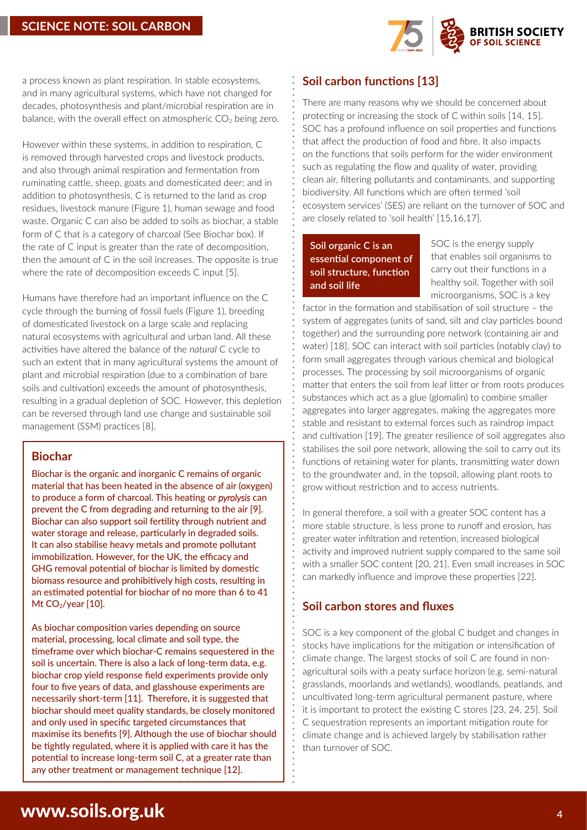

a process known as plant respiration. In stable ecosystems, and in many agricultural systems, which have not changed for decades, photosynthesis and plant/microbial respiration are in balance, with the overall effect on atmospheric  $CO<sub>2</sub>$  being zero.

However within these systems, in addition to respiration, C is removed through harvested crops and livestock products, and also through animal respiration and fermentation from ruminating cattle, sheep, goats and domesticated deer; and in addition to photosynthesis, C is returned to the land as crop residues, livestock manure (Figure 1), human sewage and food waste. Organic C can also be added to soils as biochar, a stable form of C that is a category of charcoal (See Biochar box). If the rate of C input is greater than the rate of decomposition, then the amount of C in the soil increases. The opposite is true where the rate of decomposition exceeds C input [5].

Humans have therefore had an important influence on the C cycle through the burning of fossil fuels (Figure 1), breeding of domesticated livestock on a large scale and replacing natural ecosystems with agricultural and urban land. All these activities have altered the balance of the *natural* C cycle to such an extent that in many agricultural systems the amount of plant and microbial respiration (due to a combination of bare soils and cultivation) exceeds the amount of photosynthesis, resulting in a gradual depletion of SOC. However, this depletion can be reversed through land use change and sustainable soil management (SSM) practices [8].

## **Biochar**

Biochar is the organic and inorganic C remains of organic material that has been heated in the absence of air (oxygen) to produce a form of charcoal. This heating or *pyrolysis* can prevent the C from degrading and returning to the air [9]. Biochar can also support soil fertility through nutrient and water storage and release, particularly in degraded soils. It can also stabilise heavy metals and promote pollutant immobilization. However, for the UK, the efficacy and GHG removal potential of biochar is limited by domestic biomass resource and prohibitively high costs, resulting in an estimated potential for biochar of no more than 6 to 41 Mt  $CO<sub>2</sub>/year$  [10].

As biochar composition varies depending on source material, processing, local climate and soil type, the timeframe over which biochar-C remains sequestered in the soil is uncertain. There is also a lack of long-term data, e.g. biochar crop yield response field experiments provide only four to five years of data, and glasshouse experiments are necessarily short-term [11]. Therefore, it is suggested that biochar should meet quality standards, be closely monitored and only used in specific targeted circumstances that maximise its benefits [9]. Although the use of biochar should be tightly regulated, where it is applied with care it has the potential to increase long-term soil C, at a greater rate than any other treatment or management technique [12].

# **Soil carbon functions [13]**

There are many reasons why we should be concerned about protecting or increasing the stock of C within soils [14, 15]. SOC has a profound influence on soil properties and functions that affect the production of food and fibre. It also impacts on the functions that soils perform for the wider environment such as regulating the flow and quality of water, providing clean air, filtering pollutants and contaminants, and supporting biodiversity. All functions which are often termed 'soil ecosystem services' (SES) are reliant on the turnover of SOC and are closely related to 'soil health' [15,16,17].

## **Soil organic C is an essential component of soil structure, function and soil life**

SOC is the energy supply that enables soil organisms to carry out their functions in a healthy soil. Together with soil microorganisms, SOC is a key

factor in the formation and stabilisation of soil structure – the system of aggregates (units of sand, silt and clay particles bound together) and the surrounding pore network (containing air and water) [18]. SOC can interact with soil particles (notably clay) to form small aggregates through various chemical and biological processes. The processing by soil microorganisms of organic matter that enters the soil from leaf litter or from roots produces substances which act as a glue (glomalin) to combine smaller aggregates into larger aggregates, making the aggregates more stable and resistant to external forces such as raindrop impact and cultivation [19]. The greater resilience of soil aggregates also stabilises the soil pore network, allowing the soil to carry out its functions of retaining water for plants, transmitting water down to the groundwater and, in the topsoil, allowing plant roots to grow without restriction and to access nutrients.

In general therefore, a soil with a greater SOC content has a more stable structure, is less prone to runoff and erosion, has greater water infiltration and retention, increased biological activity and improved nutrient supply compared to the same soil with a smaller SOC content [20, 21]. Even small increases in SOC can markedly influence and improve these properties [22].

## **Soil carbon stores and fluxes**

SOC is a key component of the global C budget and changes in stocks have implications for the mitigation or intensification of climate change. The largest stocks of soil C are found in nonagricultural soils with a peaty surface horizon (e.g. semi-natural grasslands, moorlands and wetlands), woodlands, peatlands, and uncultivated long-term agricultural permanent pasture, where it is important to protect the existing C stores [23, 24, 25]. Soil C sequestration represents an important mitigation route for climate change and is achieved largely by stabilisation rather than turnover of SOC.

# www.soils.org.uk **<sup>4</sup>**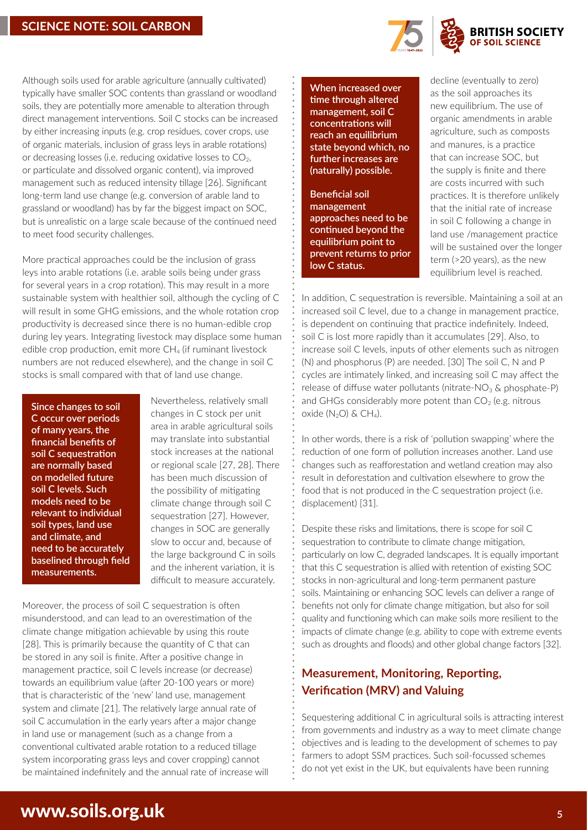

Although soils used for arable agriculture (annually cultivated) typically have smaller SOC contents than grassland or woodland soils, they are potentially more amenable to alteration through direct management interventions. Soil C stocks can be increased by either increasing inputs (e.g. crop residues, cover crops, use of organic materials, inclusion of grass leys in arable rotations) or decreasing losses (i.e. reducing oxidative losses to  $CO<sub>2</sub>$ , or particulate and dissolved organic content), via improved management such as reduced intensity tillage [26]. Significant long-term land use change (e.g. conversion of arable land to grassland or woodland) has by far the biggest impact on SOC, but is unrealistic on a large scale because of the continued need to meet food security challenges.

More practical approaches could be the inclusion of grass leys into arable rotations (i.e. arable soils being under grass for several years in a crop rotation). This may result in a more sustainable system with healthier soil, although the cycling of C will result in some GHG emissions, and the whole rotation crop productivity is decreased since there is no human-edible crop during ley years. Integrating livestock may displace some human edible crop production, emit more CH<sub>4</sub> (if ruminant livestock numbers are not reduced elsewhere), and the change in soil C stocks is small compared with that of land use change.

**Since changes to soil C occur over periods of many years, the financial benefits of soil C sequestration are normally based on modelled future soil C levels. Such models need to be relevant to individual soil types, land use and climate, and need to be accurately baselined through field measurements.**

Nevertheless, relatively small changes in C stock per unit area in arable agricultural soils may translate into substantial stock increases at the national or regional scale [27, 28]. There has been much discussion of the possibility of mitigating climate change through soil C sequestration [27]. However, changes in SOC are generally slow to occur and, because of the large background C in soils and the inherent variation, it is difficult to measure accurately.

Moreover, the process of soil C sequestration is often misunderstood, and can lead to an overestimation of the climate change mitigation achievable by using this route [28]. This is primarily because the quantity of C that can be stored in any soil is finite. After a positive change in management practice, soil C levels increase (or decrease) towards an equilibrium value (after 20-100 years or more) that is characteristic of the 'new' land use, management system and climate [21]. The relatively large annual rate of soil C accumulation in the early years after a major change in land use or management (such as a change from a conventional cultivated arable rotation to a reduced tillage system incorporating grass leys and cover cropping) cannot be maintained indefinitely and the annual rate of increase will

**When increased over time through altered management, soil C concentrations will reach an equilibrium state beyond which, no further increases are (naturally) possible.**

**Beneficial soil management approaches need to be continued beyond the equilibrium point to prevent returns to prior low C status.**

decline (eventually to zero) as the soil approaches its new equilibrium. The use of organic amendments in arable agriculture, such as composts and manures, is a practice that can increase SOC, but the supply is finite and there are costs incurred with such practices. It is therefore unlikely that the initial rate of increase in soil C following a change in land use /management practice will be sustained over the longer term (>20 years), as the new equilibrium level is reached.

In addition, C sequestration is reversible. Maintaining a soil at an increased soil C level, due to a change in management practice, is dependent on continuing that practice indefinitely. Indeed, soil C is lost more rapidly than it accumulates [29]. Also, to increase soil C levels, inputs of other elements such as nitrogen (N) and phosphorus (P) are needed. [30] The soil C, N and P cycles are intimately linked, and increasing soil C may affect the release of diffuse water pollutants (nitrate- $NO<sub>3</sub>$  & phosphate-P) and GHGs considerably more potent than  $CO<sub>2</sub>$  (e.g. nitrous oxide  $(N_2O)$  & CH<sub>4</sub>).

In other words, there is a risk of 'pollution swapping' where the reduction of one form of pollution increases another. Land use changes such as reafforestation and wetland creation may also result in deforestation and cultivation elsewhere to grow the food that is not produced in the C sequestration project (i.e. displacement) [31].

Despite these risks and limitations, there is scope for soil C sequestration to contribute to climate change mitigation, particularly on low C, degraded landscapes. It is equally important that this C sequestration is allied with retention of existing SOC stocks in non-agricultural and long-term permanent pasture soils. Maintaining or enhancing SOC levels can deliver a range of benefits not only for climate change mitigation, but also for soil quality and functioning which can make soils more resilient to the impacts of climate change (e.g. ability to cope with extreme events such as droughts and floods) and other global change factors [32].

# **Measurement, Monitoring, Reporting, Verification (MRV) and Valuing**

Sequestering additional C in agricultural soils is attracting interest from governments and industry as a way to meet climate change objectives and is leading to the development of schemes to pay farmers to adopt SSM practices. Such soil-focussed schemes do not yet exist in the UK, but equivalents have been running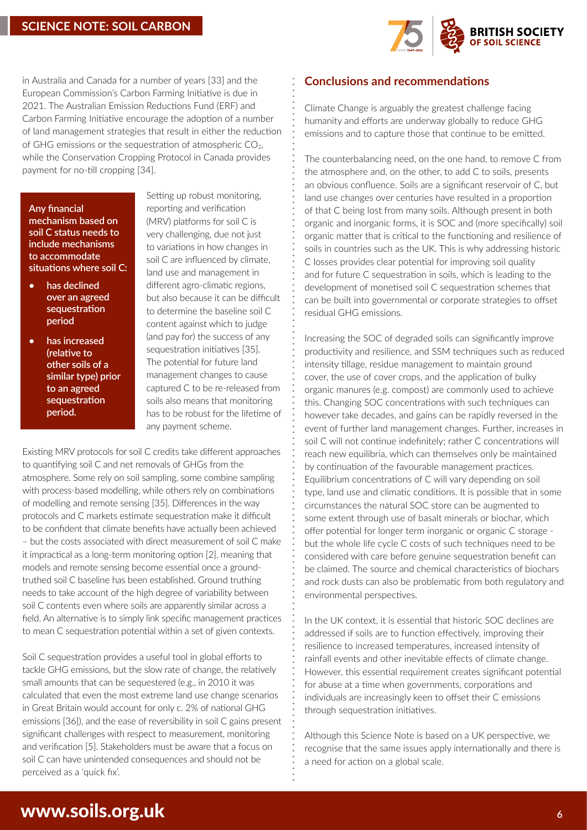

in Australia and Canada for a number of years [33] and the European Commission's Carbon Farming Initiative is due in 2021. The Australian Emission Reductions Fund (ERF) and Carbon Farming Initiative encourage the adoption of a number of land management strategies that result in either the reduction of GHG emissions or the sequestration of atmospheric  $CO<sub>2</sub>$ , while the Conservation Cropping Protocol in Canada provides payment for no-till cropping [34].

**Any financial mechanism based on soil C status needs to include mechanisms to accommodate situations where soil C:**

- **• has declined over an agreed sequestration period**
- **• has increased (relative to other soils of a similar type) prior to an agreed sequestration period.**

Setting up robust monitoring, reporting and verification (MRV) platforms for soil C is very challenging, due not just to variations in how changes in soil C are influenced by climate, land use and management in different agro-climatic regions, but also because it can be difficult to determine the baseline soil C content against which to judge (and pay for) the success of any sequestration initiatives [35]. The potential for future land management changes to cause captured C to be re-released from soils also means that monitoring has to be robust for the lifetime of any payment scheme.

Existing MRV protocols for soil C credits take different approaches to quantifying soil C and net removals of GHGs from the atmosphere. Some rely on soil sampling, some combine sampling with process-based modelling, while others rely on combinations of modelling and remote sensing [35]. Differences in the way protocols and C markets estimate sequestration make it difficult to be confident that climate benefits have actually been achieved – but the costs associated with direct measurement of soil C make it impractical as a long-term monitoring option [2], meaning that models and remote sensing become essential once a groundtruthed soil C baseline has been established. Ground truthing needs to take account of the high degree of variability between soil C contents even where soils are apparently similar across a field. An alternative is to simply link specific management practices to mean C sequestration potential within a set of given contexts.

Soil C sequestration provides a useful tool in global efforts to tackle GHG emissions, but the slow rate of change, the relatively small amounts that can be sequestered (e.g., in 2010 it was calculated that even the most extreme land use change scenarios in Great Britain would account for only c. 2% of national GHG emissions [36]), and the ease of reversibility in soil C gains present significant challenges with respect to measurement, monitoring and verification [5]. Stakeholders must be aware that a focus on soil C can have unintended consequences and should not be perceived as a 'quick fix'.

### **Conclusions and recommendations**

Climate Change is arguably the greatest challenge facing humanity and efforts are underway globally to reduce GHG emissions and to capture those that continue to be emitted.

The counterbalancing need, on the one hand, to remove C from the atmosphere and, on the other, to add C to soils, presents an obvious confluence. Soils are a significant reservoir of C, but land use changes over centuries have resulted in a proportion of that C being lost from many soils. Although present in both organic and inorganic forms, it is SOC and (more specifically) soil organic matter that is critical to the functioning and resilience of soils in countries such as the UK. This is why addressing historic C losses provides clear potential for improving soil quality and for future C sequestration in soils, which is leading to the development of monetised soil C sequestration schemes that can be built into governmental or corporate strategies to offset residual GHG emissions.

Increasing the SOC of degraded soils can significantly improve productivity and resilience, and SSM techniques such as reduced intensity tillage, residue management to maintain ground cover, the use of cover crops, and the application of bulky organic manures (e.g. compost) are commonly used to achieve this. Changing SOC concentrations with such techniques can however take decades, and gains can be rapidly reversed in the event of further land management changes. Further, increases in soil C will not continue indefinitely; rather C concentrations will reach new equilibria, which can themselves only be maintained by continuation of the favourable management practices. Equilibrium concentrations of C will vary depending on soil type, land use and climatic conditions. It is possible that in some circumstances the natural SOC store can be augmented to some extent through use of basalt minerals or biochar, which offer potential for longer term inorganic or organic C storage but the whole life cycle C costs of such techniques need to be considered with care before genuine sequestration benefit can be claimed. The source and chemical characteristics of biochars and rock dusts can also be problematic from both regulatory and environmental perspectives.

In the UK context, it is essential that historic SOC declines are addressed if soils are to function effectively, improving their resilience to increased temperatures, increased intensity of rainfall events and other inevitable effects of climate change. However, this essential requirement creates significant potential for abuse at a time when governments, corporations and individuals are increasingly keen to offset their C emissions through sequestration initiatives.

Although this Science Note is based on a UK perspective, we recognise that the same issues apply internationally and there is a need for action on a global scale.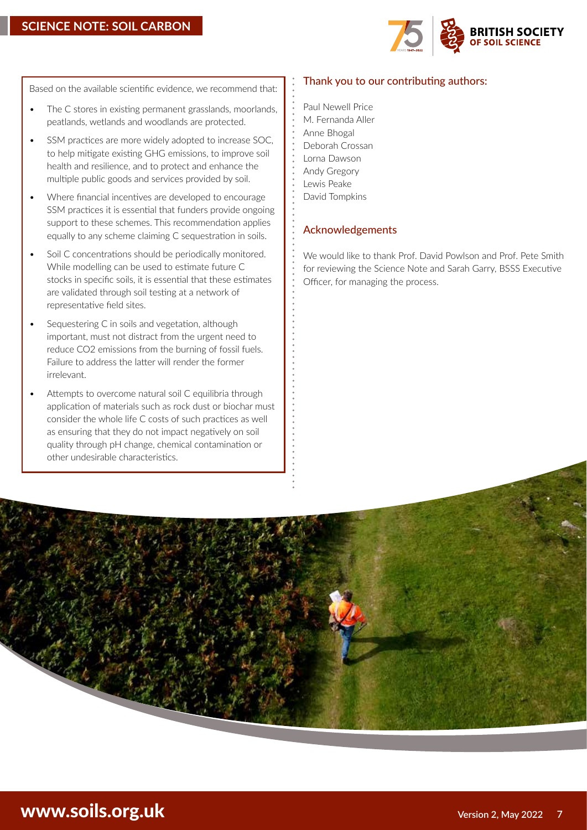

Based on the available scientific evidence, we recommend that:

- The C stores in existing permanent grasslands, moorlands, peatlands, wetlands and woodlands are protected.
- SSM practices are more widely adopted to increase SOC, to help mitigate existing GHG emissions, to improve soil health and resilience, and to protect and enhance the multiple public goods and services provided by soil.
- Where financial incentives are developed to encourage SSM practices it is essential that funders provide ongoing support to these schemes. This recommendation applies equally to any scheme claiming C sequestration in soils.
- Soil C concentrations should be periodically monitored. While modelling can be used to estimate future C stocks in specific soils, it is essential that these estimates are validated through soil testing at a network of representative field sites.
- Sequestering C in soils and vegetation, although important, must not distract from the urgent need to reduce CO2 emissions from the burning of fossil fuels. Failure to address the latter will render the former irrelevant.
- Attempts to overcome natural soil C equilibria through application of materials such as rock dust or biochar must consider the whole life C costs of such practices as well as ensuring that they do not impact negatively on soil quality through pH change, chemical contamination or other undesirable characteristics.

### Thank you to our contributing authors:

Paul Newell Price M. Fernanda Aller Anne Bhogal Deborah Crossan Lorna Dawson Andy Gregory Lewis Peake David Tompkins

### Acknowledgements

We would like to thank Prof. David Powlson and Prof. Pete Smith for reviewing the Science Note and Sarah Garry, BSSS Executive Officer, for managing the process.